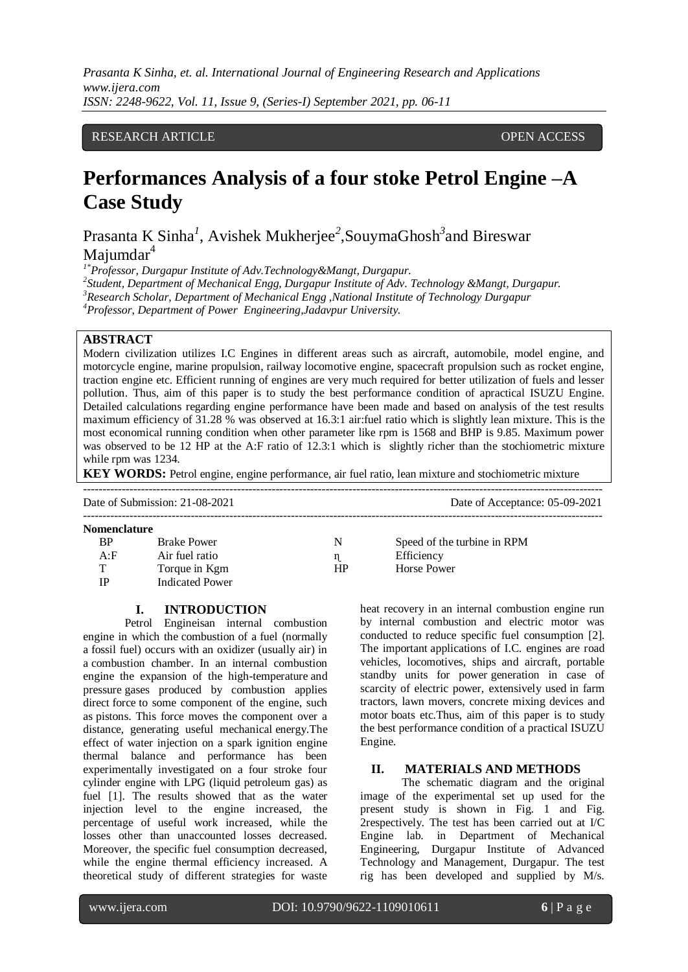# RESEARCH ARTICLE **CONTRACT ARTICLE** AND A SERVICE OPEN ACCESS OF A SERVICE OF A SERVICE OF A SERVICE OF A SERVICE OF A SERVICE OF A SERVICE OF A SERVICE OF A SERVICE OF A SERVICE OF A SERVICE OF A SERVICE OF A SERVICE OF A

# **Performances Analysis of a four stoke Petrol Engine –A Case Study**

Prasanta K Sinha<sup>1</sup>, Avishek Mukherjee<sup>2</sup>, SouymaGhosh<sup>3</sup> and Bireswar Majumdar<sup>4</sup>

*1\*Professor, Durgapur Institute of Adv.Technology&Mangt, Durgapur.*

*2 Student, Department of Mechanical Engg, Durgapur Institute of Adv. Technology &Mangt, Durgapur. <sup>3</sup>Research Scholar, Department of Mechanical Engg ,National Institute of Technology Durgapur <sup>4</sup>Professor, Department of Power Engineering,Jadavpur University.*

## **ABSTRACT**

Modern civilization utilizes I.C Engines in different areas such as aircraft, automobile, model engine, and motorcycle engine, marine propulsion, railway locomotive engine, spacecraft propulsion such as rocket engine, traction engine etc. Efficient running of engines are very much required for better utilization of fuels and lesser pollution. Thus, aim of this paper is to study the best performance condition of apractical ISUZU Engine. Detailed calculations regarding engine performance have been made and based on analysis of the test results maximum efficiency of 31.28 % was observed at 16.3:1 air:fuel ratio which is slightly lean mixture. This is the most economical running condition when other parameter like rpm is 1568 and BHP is 9.85. Maximum power was observed to be 12 HP at the A:F ratio of 12.3:1 which is slightly richer than the stochiometric mixture while rpm was 1234.

**KEY WORDS:** Petrol engine, engine performance, air fuel ratio, lean mixture and stochiometric mixture

|              | Date of Submission: 21-08-2021 | Date of Acceptance: 05-09-2021 |                             |
|--------------|--------------------------------|--------------------------------|-----------------------------|
|              |                                |                                |                             |
| Nomenclature |                                |                                |                             |
| BP           | <b>Brake Power</b>             | N                              | Speed of the turbine in RPM |
| A: F         | Air fuel ratio                 | n                              | Efficiency                  |
| т            | Torque in Kgm                  | HP                             | Horse Power                 |
| IP           | <b>Indicated Power</b>         |                                |                             |

#### **I. INTRODUCTION**

Petrol Engineisan internal combustion engine in which the combustion of a fuel (normally a fossil fuel) occurs with an oxidizer (usually air) in a combustion chamber. In an internal combustion engine the expansion of the high-temperature and pressure gases produced by combustion applies direct force to some component of the engine, such as pistons. This force moves the component over a distance, generating useful mechanical energy.The effect of water injection on a spark ignition engine thermal balance and performance has been experimentally investigated on a four stroke four cylinder engine with LPG (liquid petroleum gas) as fuel [1]. The results showed that as the water injection level to the engine increased, the percentage of useful work increased, while the losses other than unaccounted losses decreased. Moreover, the specific fuel consumption decreased, while the engine thermal efficiency increased. A theoretical study of different strategies for waste

heat recovery in an internal combustion engine run by internal combustion and electric motor was conducted to reduce specific fuel consumption [2]. The important applications of I.C. engines are road vehicles, locomotives, ships and aircraft, portable standby units for power generation in case of scarcity of electric power, extensively used in farm tractors, lawn movers, concrete mixing devices and motor boats etc.Thus, aim of this paper is to study the best performance condition of a practical ISUZU Engine.

## **II. MATERIALS AND METHODS**

The schematic diagram and the original image of the experimental set up used for the present study is shown in Fig. 1 and Fig. 2respectively. The test has been carried out at I/C Engine lab. in Department of Mechanical Engineering, Durgapur Institute of Advanced Technology and Management, Durgapur. The test rig has been developed and supplied by M/s.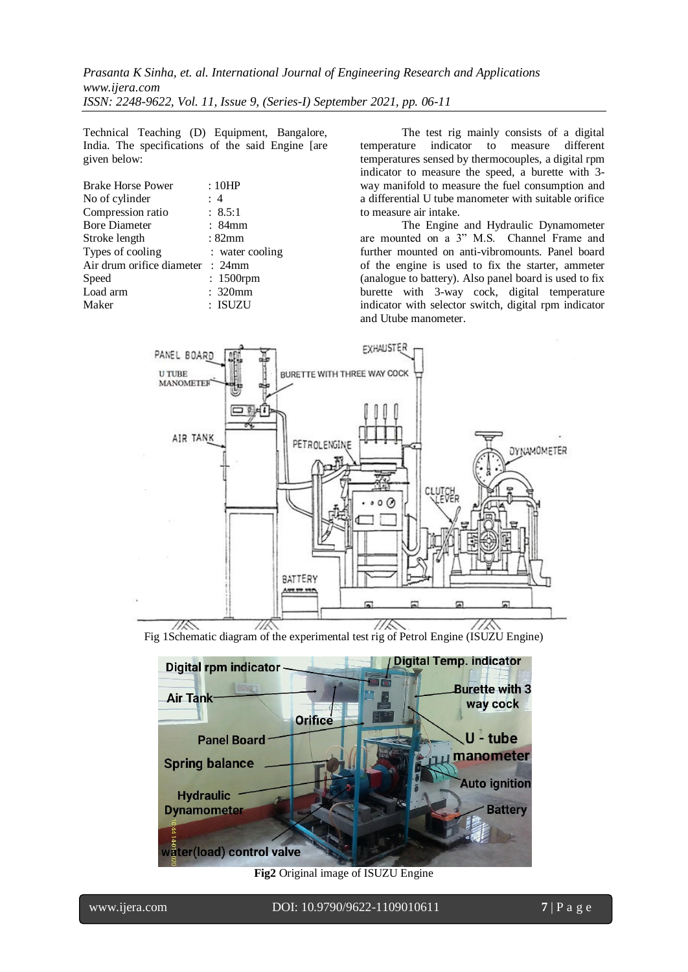Technical Teaching (D) Equipment, Bangalore, India. The specifications of the said Engine [are given below:

| <b>Brake Horse Power</b>         | : 10HP          |
|----------------------------------|-----------------|
| No of cylinder                   | : 4             |
| Compression ratio                | : 8.5:1         |
| <b>Bore Diameter</b>             | : 84mm          |
| Stroke length                    | : 82mm          |
| Types of cooling                 | : water cooling |
| Air drum orifice diameter : 24mm |                 |
| Speed                            | : 1500rpm       |
| Load arm                         | : 320mm         |
| Maker                            | : ISUZU         |
|                                  |                 |

The test rig mainly consists of a digital temperature indicator to measure different temperatures sensed by thermocouples, a digital rpm indicator to measure the speed, a burette with 3 way manifold to measure the fuel consumption and a differential U tube manometer with suitable orifice to measure air intake.

The Engine and Hydraulic Dynamometer are mounted on a 3" M.S. Channel Frame and further mounted on anti-vibromounts. Panel board of the engine is used to fix the starter, ammeter (analogue to battery). Also panel board is used to fix burette with 3-way cock, digital temperature indicator with selector switch, digital rpm indicator and Utube manometer.



Fig 1Schematic diagram of the experimental test rig of Petrol Engine (ISUZU Engine)



**Fig2** Original image of ISUZU Engine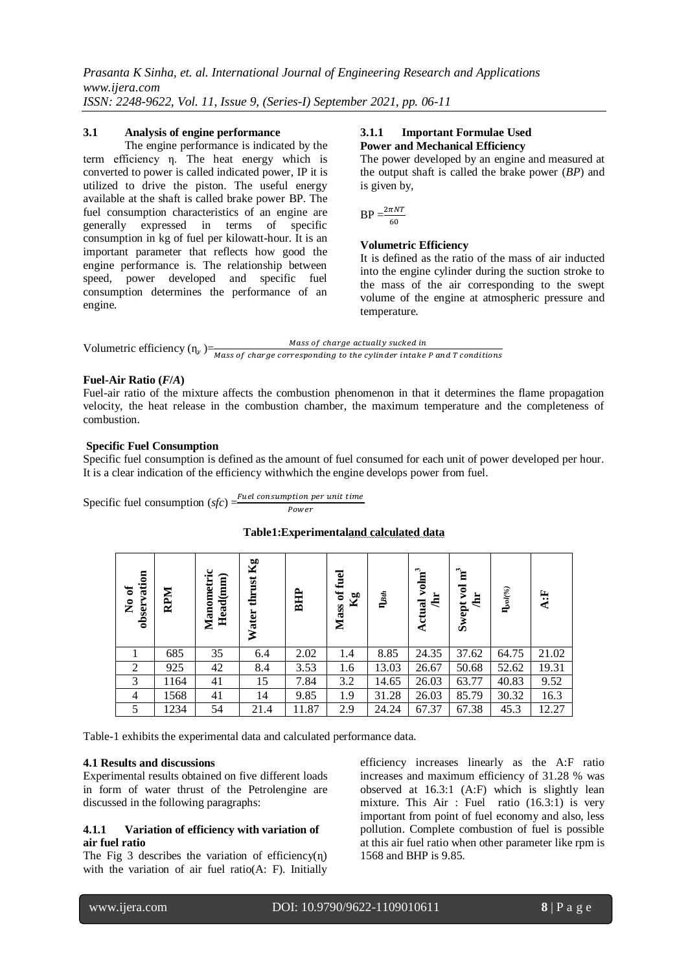#### **3.1 Analysis of engine performance**

The engine performance is indicated by the term efficiency η. The heat energy which is converted to power is called indicated power, IP it is utilized to drive the piston. The useful energy available at the shaft is called brake power BP. The fuel consumption characteristics of an engine are generally expressed in terms of specific consumption in kg of fuel per kilowatt-hour. It is an important parameter that reflects how good the engine performance is. The relationship between speed, power developed and specific fuel consumption determines the performance of an engine.

#### **3.1.1 Important Formulae Used Power and Mechanical Efficiency**

The power developed by an engine and measured at the output shaft is called the brake power (*BP*) and is given by,

$$
BP = \frac{2\pi NT}{60}
$$

## **Volumetric Efficiency**

It is defined as the ratio of the mass of air inducted into the engine cylinder during the suction stroke to the mass of the air corresponding to the swept volume of the engine at atmospheric pressure and temperature.



## **Fuel-Air Ratio (***F***/***A***)**

Fuel-air ratio of the mixture affects the combustion phenomenon in that it determines the flame propagation velocity, the heat release in the combustion chamber, the maximum temperature and the completeness of combustion.

#### **Specific Fuel Consumption**

Specific fuel consumption is defined as the amount of fuel consumed for each unit of power developed per hour. It is a clear indication of the efficiency withwhich the engine develops power from fuel.

Specific fuel consumption (*sfc*) =  $\frac{Fuel \cosumption \ per \ unit \ time}$ Power

## **Table1:Experimentaland calculated data**

| vation<br>No of<br>obser | RPM  | Manometric<br>Head(mm) | $K_{g}$<br>thrust<br>Water | BHP   | fuel<br>đ<br>$\mathbf{Kg}$<br>Mass | $\mathbf{I}_{\mathcal{B}th}$ | 3<br>volm<br>희<br>Actual | ិ≅<br>ğ<br>ä<br>Swept | $\mathbf{I}\hspace{-2.5pt}\mathbf{I}$ ol $(\%)$ | A:F   |
|--------------------------|------|------------------------|----------------------------|-------|------------------------------------|------------------------------|--------------------------|-----------------------|-------------------------------------------------|-------|
|                          | 685  | 35                     | 6.4                        | 2.02  | 1.4                                | 8.85                         | 24.35                    | 37.62                 | 64.75                                           | 21.02 |
| $\overline{2}$           | 925  | 42                     | 8.4                        | 3.53  | 1.6                                | 13.03                        | 26.67                    | 50.68                 | 52.62                                           | 19.31 |
| 3                        | 1164 | 41                     | 15                         | 7.84  | 3.2                                | 14.65                        | 26.03                    | 63.77                 | 40.83                                           | 9.52  |
| $\overline{4}$           | 1568 | 41                     | 14                         | 9.85  | 1.9                                | 31.28                        | 26.03                    | 85.79                 | 30.32                                           | 16.3  |
| 5                        | 1234 | 54                     | 21.4                       | 11.87 | 2.9                                | 24.24                        | 67.37                    | 67.38                 | 45.3                                            | 12.27 |

Table-1 exhibits the experimental data and calculated performance data.

# **4.1 Results and discussions**

Experimental results obtained on five different loads in form of water thrust of the Petrolengine are discussed in the following paragraphs:

## **4.1.1 Variation of efficiency with variation of air fuel ratio**

The Fig 3 describes the variation of efficiency $(n)$ with the variation of air fuel ratio(A: F). Initially efficiency increases linearly as the A:F ratio increases and maximum efficiency of 31.28 % was observed at 16.3:1 (A:F) which is slightly lean mixture. This Air : Fuel ratio (16.3:1) is very important from point of fuel economy and also, less pollution. Complete combustion of fuel is possible at this air fuel ratio when other parameter like rpm is 1568 and BHP is 9.85.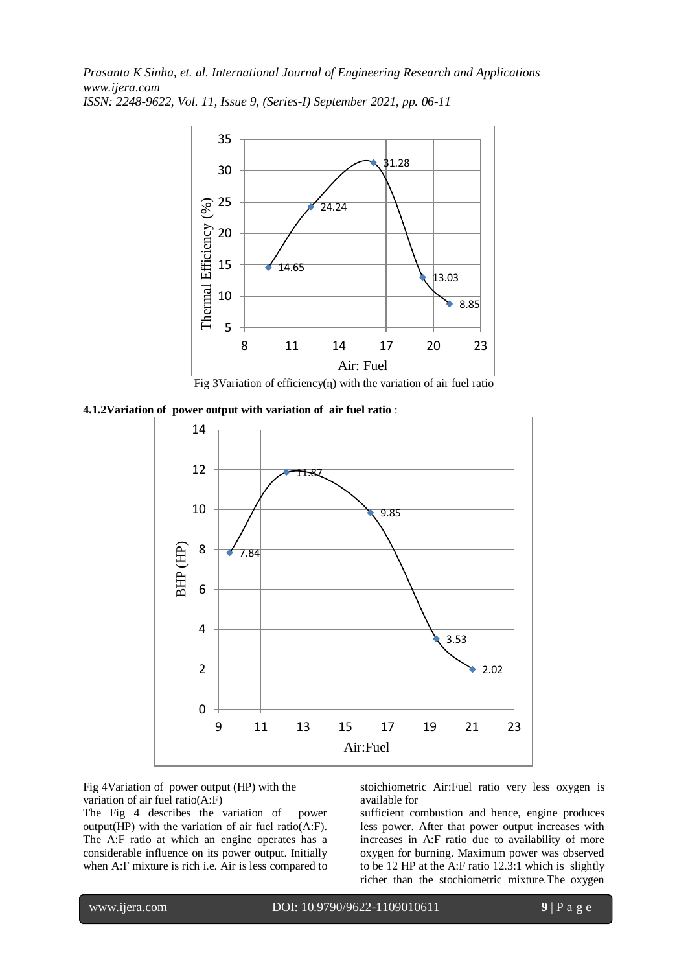





Fig 4Variation of power output (HP) with the variation of air fuel ratio(A:F)

The Fig 4 describes the variation of power output(HP) with the variation of air fuel ratio(A:F). The A:F ratio at which an engine operates has a considerable influence on its power output. Initially when A:F mixture is rich i.e. Air is less compared to stoichiometric Air:Fuel ratio very less oxygen is available for

sufficient combustion and hence, engine produces less power. After that power output increases with increases in A:F ratio due to availability of more oxygen for burning. Maximum power was observed to be 12 HP at the A:F ratio 12.3:1 which is slightly richer than the stochiometric mixture.The oxygen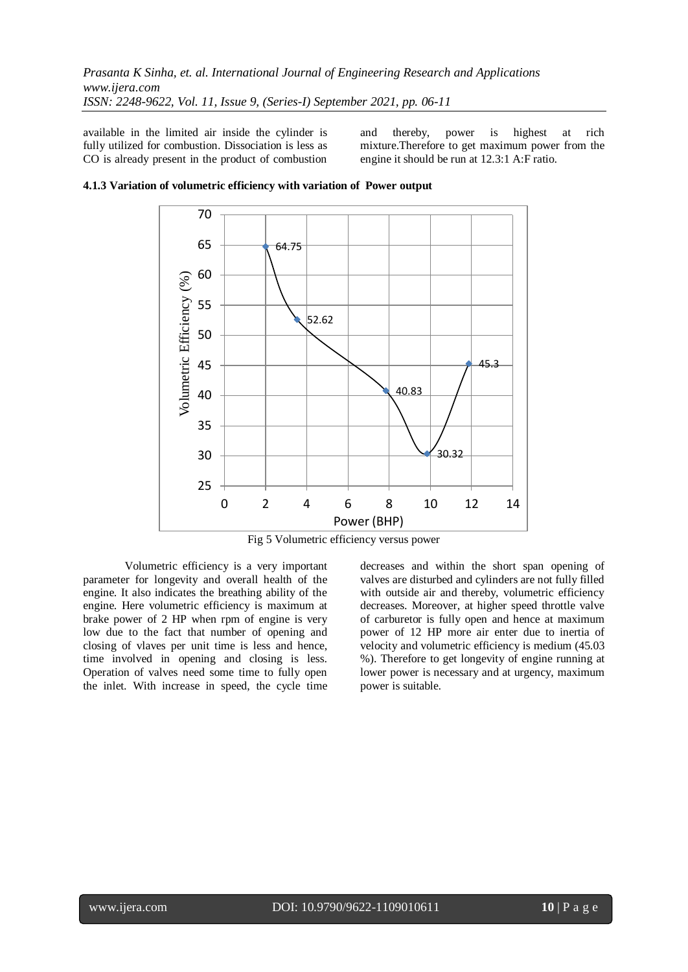available in the limited air inside the cylinder is fully utilized for combustion. Dissociation is less as CO is already present in the product of combustion and thereby, power is highest at rich mixture.Therefore to get maximum power from the engine it should be run at 12.3:1 A:F ratio.



**4.1.3 Variation of volumetric efficiency with variation of Power output** 

Fig 5 Volumetric efficiency versus power

Volumetric efficiency is a very important parameter for longevity and overall health of the engine. It also indicates the breathing ability of the engine. Here volumetric efficiency is maximum at brake power of 2 HP when rpm of engine is very low due to the fact that number of opening and closing of vlaves per unit time is less and hence, time involved in opening and closing is less. Operation of valves need some time to fully open the inlet. With increase in speed, the cycle time decreases and within the short span opening of valves are disturbed and cylinders are not fully filled with outside air and thereby, volumetric efficiency decreases. Moreover, at higher speed throttle valve of carburetor is fully open and hence at maximum power of 12 HP more air enter due to inertia of velocity and volumetric efficiency is medium (45.03 %). Therefore to get longevity of engine running at lower power is necessary and at urgency, maximum power is suitable.